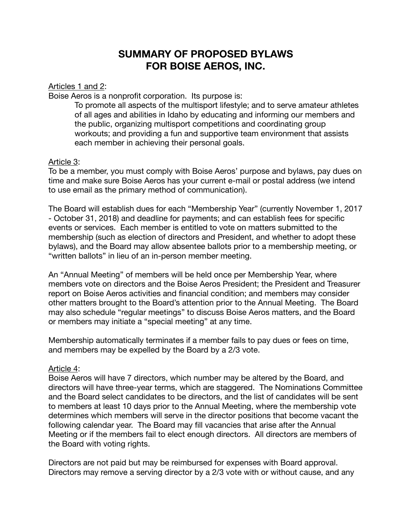# **SUMMARY OF PROPOSED BYLAWS FOR BOISE AEROS, INC.**

Articles 1 and 2:

Boise Aeros is a nonprofit corporation. Its purpose is:

To promote all aspects of the multisport lifestyle; and to serve amateur athletes of all ages and abilities in Idaho by educating and informing our members and the public, organizing multisport competitions and coordinating group workouts; and providing a fun and supportive team environment that assists each member in achieving their personal goals.

## Article 3:

To be a member, you must comply with Boise Aeros' purpose and bylaws, pay dues on time and make sure Boise Aeros has your current e-mail or postal address (we intend to use email as the primary method of communication).

The Board will establish dues for each "Membership Year" (currently November 1, 2017 - October 31, 2018) and deadline for payments; and can establish fees for specific events or services. Each member is entitled to vote on matters submitted to the membership (such as election of directors and President, and whether to adopt these bylaws), and the Board may allow absentee ballots prior to a membership meeting, or "written ballots" in lieu of an in-person member meeting.

An "Annual Meeting" of members will be held once per Membership Year, where members vote on directors and the Boise Aeros President; the President and Treasurer report on Boise Aeros activities and financial condition; and members may consider other matters brought to the Board's attention prior to the Annual Meeting. The Board may also schedule "regular meetings" to discuss Boise Aeros matters, and the Board or members may initiate a "special meeting" at any time.

Membership automatically terminates if a member fails to pay dues or fees on time, and members may be expelled by the Board by a 2/3 vote.

### Article 4:

Boise Aeros will have 7 directors, which number may be altered by the Board, and directors will have three-year terms, which are staggered. The Nominations Committee and the Board select candidates to be directors, and the list of candidates will be sent to members at least 10 days prior to the Annual Meeting, where the membership vote determines which members will serve in the director positions that become vacant the following calendar year. The Board may fill vacancies that arise after the Annual Meeting or if the members fail to elect enough directors. All directors are members of the Board with voting rights.

Directors are not paid but may be reimbursed for expenses with Board approval. Directors may remove a serving director by a 2/3 vote with or without cause, and any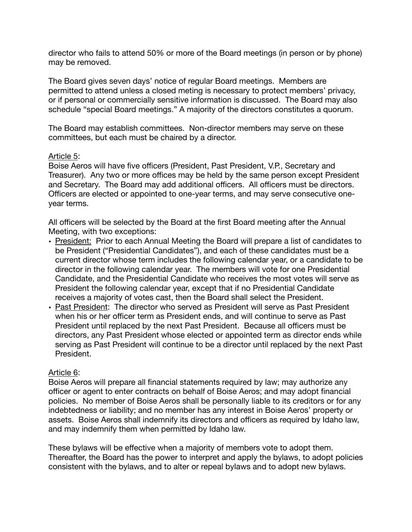director who fails to attend 50% or more of the Board meetings (in person or by phone) may be removed.

The Board gives seven days' notice of regular Board meetings. Members are permitted to attend unless a closed meting is necessary to protect members' privacy, or if personal or commercially sensitive information is discussed. The Board may also schedule "special Board meetings." A majority of the directors constitutes a quorum.

The Board may establish committees. Non-director members may serve on these committees, but each must be chaired by a director.

### Article 5:

Boise Aeros will have five officers (President, Past President, V.P., Secretary and Treasurer). Any two or more offices may be held by the same person except President and Secretary. The Board may add additional officers. All officers must be directors. Officers are elected or appointed to one-year terms, and may serve consecutive oneyear terms.

All officers will be selected by the Board at the first Board meeting after the Annual Meeting, with two exceptions:

- President: Prior to each Annual Meeting the Board will prepare a list of candidates to be President ("Presidential Candidates"), and each of these candidates must be a current director whose term includes the following calendar year, or a candidate to be director in the following calendar year. The members will vote for one Presidential Candidate, and the Presidential Candidate who receives the most votes will serve as President the following calendar year, except that if no Presidential Candidate receives a majority of votes cast, then the Board shall select the President.
- Past President: The director who served as President will serve as Past President when his or her officer term as President ends, and will continue to serve as Past President until replaced by the next Past President. Because all officers must be directors, any Past President whose elected or appointed term as director ends while serving as Past President will continue to be a director until replaced by the next Past President.

#### Article 6:

Boise Aeros will prepare all financial statements required by law; may authorize any officer or agent to enter contracts on behalf of Boise Aeros; and may adopt financial policies. No member of Boise Aeros shall be personally liable to its creditors or for any indebtedness or liability; and no member has any interest in Boise Aeros' property or assets. Boise Aeros shall indemnify its directors and officers as required by Idaho law, and may indemnify them when permitted by Idaho law.

These bylaws will be effective when a majority of members vote to adopt them. Thereafter, the Board has the power to interpret and apply the bylaws, to adopt policies consistent with the bylaws, and to alter or repeal bylaws and to adopt new bylaws.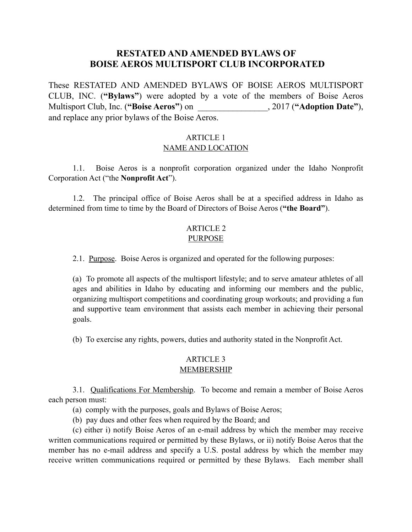## **RESTATED AND AMENDED BYLAWS OF [BOISE AEROS MULTISPORT CLUB INCORPORATED](https://www.accessidaho.org/public/sos/corp/C142326.html)**

These RESTATED AND AMENDED BYLAWS OF BOISE AEROS MULTISPORT CLUB, INC. (**"Bylaws"**) were adopted by a vote of the members of Boise Aeros Multisport Club, Inc. (**"Boise Aeros"**) on \_\_\_\_\_\_\_\_\_\_\_\_\_\_\_\_, 2017 (**"Adoption Date"**), and replace any prior bylaws of the Boise Aeros.

### ARTICLE 1 NAME AND LOCATION

1.1. Boise Aeros is a nonprofit corporation organized under the Idaho Nonprofit Corporation Act ("the **Nonprofit Act**").

1.2. The principal office of Boise Aeros shall be at a specified address in Idaho as determined from time to time by the Board of Directors of Boise Aeros (**"the Board"**).

### ARTICLE 2 PURPOSE

2.1. Purpose. Boise Aeros is organized and operated for the following purposes:

(a) To promote all aspects of the multisport lifestyle; and to serve amateur athletes of all ages and abilities in Idaho by educating and informing our members and the public, organizing multisport competitions and coordinating group workouts; and providing a fun and supportive team environment that assists each member in achieving their personal goals.

(b) To exercise any rights, powers, duties and authority stated in the Nonprofit Act.

# ARTICLE 3

## MEMBERSHIP

3.1. Qualifications For Membership. To become and remain a member of Boise Aeros each person must:

(a) comply with the purposes, goals and Bylaws of Boise Aeros;

(b) pay dues and other fees when required by the Board; and

(c) either i) notify Boise Aeros of an e-mail address by which the member may receive written communications required or permitted by these Bylaws, or ii) notify Boise Aeros that the member has no e-mail address and specify a U.S. postal address by which the member may receive written communications required or permitted by these Bylaws. Each member shall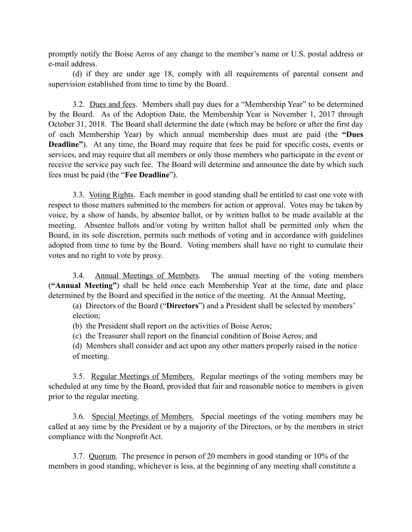promptly notify the Boise Aeros of any change to the member's name or U.S. postal address or e-mail address.

(d) if they are under age 18, comply with all requirements of parental consent and supervision established from time to time by the Board.

3.2. Dues and fees. Members shall pay dues for a "Membership Year" to be determined by the Board. As of the Adoption Date, the Membership Year is November 1, 2017 through October 31, 2018. The Board shall determine the date (which may be before or after the first day of each Membership Year) by which annual membership dues must are paid (the **"Dues Deadline"**). At any time, the Board may require that fees be paid for specific costs, events or services, and may require that all members or only those members who participate in the event or receive the service pay such fee. The Board will determine and announce the date by which such fees must be paid (the "**Fee Deadline**").

3.3. Voting Rights. Each member in good standing shall be entitled to cast one vote with respect to those matters submitted to the members for action or approval. Votes may be taken by voice, by a show of hands, by absentee ballot, or by written ballot to be made available at the meeting. Absentee ballots and/or voting by written ballot shall be permitted only when the Board, in its sole discretion, permits such methods of voting and in accordance with guidelines adopted from time to time by the Board. Voting members shall have no right to cumulate their votes and no right to vote by proxy.

3.4. Annual Meetings of Members. The annual meeting of the voting members (**"Annual Meeting"**) shall be held once each Membership Year at the time, date and place determined by the Board and specified in the notice of the meeting. At the Annual Meeting,

 (a) Directors of the Board ("**Directors**") and a President shall be selected by members' election;

(b) the President shall report on the activities of Boise Aeros;

(c) the Treasurer shall report on the financial condition of Boise Aeros; and

(d) Members shall consider and act upon any other matters properly raised in the notice of meeting.

3.5. Regular Meetings of Members. Regular meetings of the voting members may be scheduled at any time by the Board, provided that fair and reasonable notice to members is given prior to the regular meeting.

3.6. Special Meetings of Members. Special meetings of the voting members may be called at any time by the President or by a majority of the Directors, or by the members in strict compliance with the Nonprofit Act.

3.7. Quorum. The presence in person of 20 members in good standing or 10% of the members in good standing, whichever is less, at the beginning of any meeting shall constitute a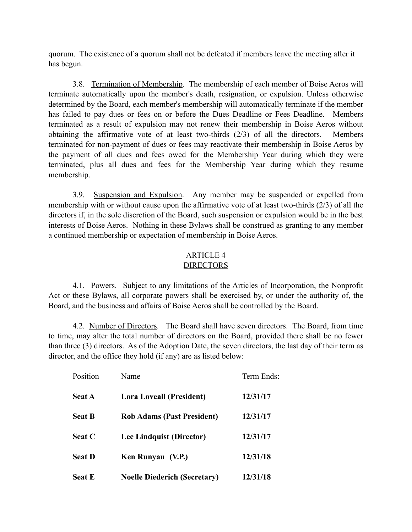quorum. The existence of a quorum shall not be defeated if members leave the meeting after it has begun.

3.8. Termination of Membership. The membership of each member of Boise Aeros will terminate automatically upon the member's death, resignation, or expulsion. Unless otherwise determined by the Board, each member's membership will automatically terminate if the member has failed to pay dues or fees on or before the Dues Deadline or Fees Deadline. Members terminated as a result of expulsion may not renew their membership in Boise Aeros without obtaining the affirmative vote of at least two-thirds (2/3) of all the directors. Members terminated for non-payment of dues or fees may reactivate their membership in Boise Aeros by the payment of all dues and fees owed for the Membership Year during which they were terminated, plus all dues and fees for the Membership Year during which they resume membership.

3.9. Suspension and Expulsion. Any member may be suspended or expelled from membership with or without cause upon the affirmative vote of at least two-thirds (2/3) of all the directors if, in the sole discretion of the Board, such suspension or expulsion would be in the best interests of Boise Aeros. Nothing in these Bylaws shall be construed as granting to any member a continued membership or expectation of membership in Boise Aeros.

## ARTICLE 4

## **DIRECTORS**

4.1. Powers. Subject to any limitations of the Articles of Incorporation, the Nonprofit Act or these Bylaws, all corporate powers shall be exercised by, or under the authority of, the Board, and the business and affairs of Boise Aeros shall be controlled by the Board.

4.2. Number of Directors. The Board shall have seven directors. The Board, from time to time, may alter the total number of directors on the Board, provided there shall be no fewer than three (3) directors. As of the Adoption Date, the seven directors, the last day of their term as director, and the office they hold (if any) are as listed below:

| Position      | Name                                | Term Ends: |
|---------------|-------------------------------------|------------|
| <b>Seat A</b> | <b>Lora Loveall (President)</b>     | 12/31/17   |
| <b>Seat B</b> | <b>Rob Adams (Past President)</b>   | 12/31/17   |
| <b>Seat C</b> | Lee Lindquist (Director)            | 12/31/17   |
| <b>Seat D</b> | Ken Runyan (V.P.)                   | 12/31/18   |
| <b>Seat E</b> | <b>Noelle Diederich (Secretary)</b> | 12/31/18   |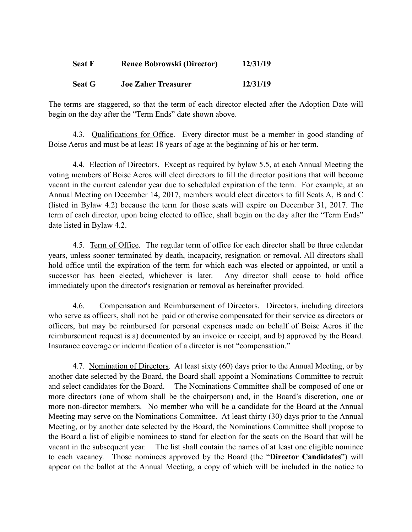| <b>Seat F</b> | <b>Renee Bobrowski (Director)</b> | 12/31/19 |
|---------------|-----------------------------------|----------|
| <b>Seat G</b> | <b>Joe Zaher Treasurer</b>        | 12/31/19 |

The terms are staggered, so that the term of each director elected after the Adoption Date will begin on the day after the "Term Ends" date shown above.

4.3. Qualifications for Office. Every director must be a member in good standing of Boise Aeros and must be at least 18 years of age at the beginning of his or her term.

4.4. Election of Directors. Except as required by bylaw 5.5, at each Annual Meeting the voting members of Boise Aeros will elect directors to fill the director positions that will become vacant in the current calendar year due to scheduled expiration of the term. For example, at an Annual Meeting on December 14, 2017, members would elect directors to fill Seats A, B and C (listed in Bylaw 4.2) because the term for those seats will expire on December 31, 2017. The term of each director, upon being elected to office, shall begin on the day after the "Term Ends" date listed in Bylaw 4.2.

4.5. Term of Office. The regular term of office for each director shall be three calendar years, unless sooner terminated by death, incapacity, resignation or removal. All directors shall hold office until the expiration of the term for which each was elected or appointed, or until a successor has been elected, whichever is later. Any director shall cease to hold office immediately upon the director's resignation or removal as hereinafter provided.

4.6. Compensation and Reimbursement of Directors. Directors, including directors who serve as officers, shall not be paid or otherwise compensated for their service as directors or officers, but may be reimbursed for personal expenses made on behalf of Boise Aeros if the reimbursement request is a) documented by an invoice or receipt, and b) approved by the Board. Insurance coverage or indemnification of a director is not "compensation."

4.7. Nomination of Directors. At least sixty (60) days prior to the Annual Meeting, or by another date selected by the Board, the Board shall appoint a Nominations Committee to recruit and select candidates for the Board. The Nominations Committee shall be composed of one or more directors (one of whom shall be the chairperson) and, in the Board's discretion, one or more non-director members. No member who will be a candidate for the Board at the Annual Meeting may serve on the Nominations Committee. At least thirty (30) days prior to the Annual Meeting, or by another date selected by the Board, the Nominations Committee shall propose to the Board a list of eligible nominees to stand for election for the seats on the Board that will be vacant in the subsequent year. The list shall contain the names of at least one eligible nominee to each vacancy. Those nominees approved by the Board (the "**Director Candidates**") will appear on the ballot at the Annual Meeting, a copy of which will be included in the notice to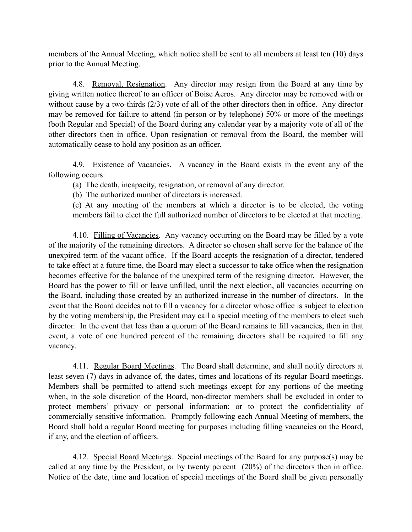members of the Annual Meeting, which notice shall be sent to all members at least ten (10) days prior to the Annual Meeting.

4.8. Removal, Resignation. Any director may resign from the Board at any time by giving written notice thereof to an officer of Boise Aeros. Any director may be removed with or without cause by a two-thirds (2/3) vote of all of the other directors then in office. Any director may be removed for failure to attend (in person or by telephone) 50% or more of the meetings (both Regular and Special) of the Board during any calendar year by a majority vote of all of the other directors then in office. Upon resignation or removal from the Board, the member will automatically cease to hold any position as an officer.

4.9. Existence of Vacancies. A vacancy in the Board exists in the event any of the following occurs:

(a) The death, incapacity, resignation, or removal of any director.

(b) The authorized number of directors is increased.

(c) At any meeting of the members at which a director is to be elected, the voting members fail to elect the full authorized number of directors to be elected at that meeting.

4.10. Filling of Vacancies. Any vacancy occurring on the Board may be filled by a vote of the majority of the remaining directors. A director so chosen shall serve for the balance of the unexpired term of the vacant office. If the Board accepts the resignation of a director, tendered to take effect at a future time, the Board may elect a successor to take office when the resignation becomes effective for the balance of the unexpired term of the resigning director. However, the Board has the power to fill or leave unfilled, until the next election, all vacancies occurring on the Board, including those created by an authorized increase in the number of directors. In the event that the Board decides not to fill a vacancy for a director whose office is subject to election by the voting membership, the President may call a special meeting of the members to elect such director. In the event that less than a quorum of the Board remains to fill vacancies, then in that event, a vote of one hundred percent of the remaining directors shall be required to fill any vacancy.

4.11. Regular Board Meetings. The Board shall determine, and shall notify directors at least seven (7) days in advance of, the dates, times and locations of its regular Board meetings. Members shall be permitted to attend such meetings except for any portions of the meeting when, in the sole discretion of the Board, non-director members shall be excluded in order to protect members' privacy or personal information; or to protect the confidentiality of commercially sensitive information. Promptly following each Annual Meeting of members, the Board shall hold a regular Board meeting for purposes including filling vacancies on the Board, if any, and the election of officers.

4.12. Special Board Meetings. Special meetings of the Board for any purpose(s) may be called at any time by the President, or by twenty percent (20%) of the directors then in office. Notice of the date, time and location of special meetings of the Board shall be given personally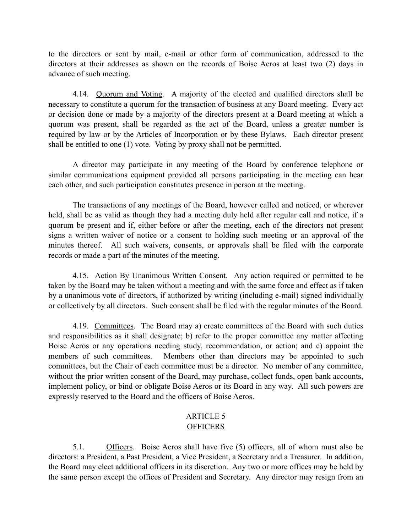to the directors or sent by mail, e-mail or other form of communication, addressed to the directors at their addresses as shown on the records of Boise Aeros at least two (2) days in advance of such meeting.

4.14. Quorum and Voting. A majority of the elected and qualified directors shall be necessary to constitute a quorum for the transaction of business at any Board meeting. Every act or decision done or made by a majority of the directors present at a Board meeting at which a quorum was present, shall be regarded as the act of the Board, unless a greater number is required by law or by the Articles of Incorporation or by these Bylaws. Each director present shall be entitled to one (1) vote. Voting by proxy shall not be permitted.

A director may participate in any meeting of the Board by conference telephone or similar communications equipment provided all persons participating in the meeting can hear each other, and such participation constitutes presence in person at the meeting.

The transactions of any meetings of the Board, however called and noticed, or wherever held, shall be as valid as though they had a meeting duly held after regular call and notice, if a quorum be present and if, either before or after the meeting, each of the directors not present signs a written waiver of notice or a consent to holding such meeting or an approval of the minutes thereof. All such waivers, consents, or approvals shall be filed with the corporate records or made a part of the minutes of the meeting.

4.15. Action By Unanimous Written Consent. Any action required or permitted to be taken by the Board may be taken without a meeting and with the same force and effect as if taken by a unanimous vote of directors, if authorized by writing (including e-mail) signed individually or collectively by all directors. Such consent shall be filed with the regular minutes of the Board.

4.19. Committees. The Board may a) create committees of the Board with such duties and responsibilities as it shall designate; b) refer to the proper committee any matter affecting Boise Aeros or any operations needing study, recommendation, or action; and c) appoint the members of such committees. Members other than directors may be appointed to such committees, but the Chair of each committee must be a director. No member of any committee, without the prior written consent of the Board, may purchase, collect funds, open bank accounts, implement policy, or bind or obligate Boise Aeros or its Board in any way. All such powers are expressly reserved to the Board and the officers of Boise Aeros.

#### ARTICLE 5 **OFFICERS**

5.1. Officers. Boise Aeros shall have five (5) officers, all of whom must also be directors: a President, a Past President, a Vice President, a Secretary and a Treasurer. In addition, the Board may elect additional officers in its discretion. Any two or more offices may be held by the same person except the offices of President and Secretary. Any director may resign from an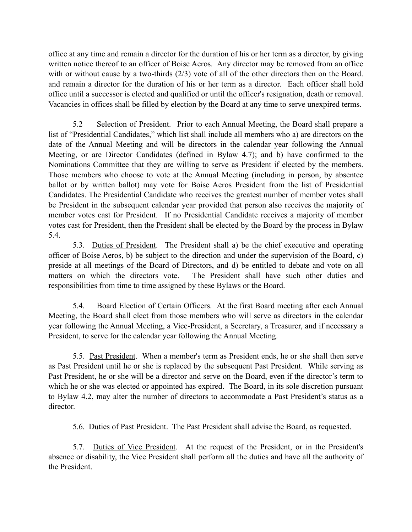office at any time and remain a director for the duration of his or her term as a director, by giving written notice thereof to an officer of Boise Aeros. Any director may be removed from an office with or without cause by a two-thirds (2/3) vote of all of the other directors then on the Board. and remain a director for the duration of his or her term as a director. Each officer shall hold office until a successor is elected and qualified or until the officer's resignation, death or removal. Vacancies in offices shall be filled by election by the Board at any time to serve unexpired terms.

5.2 Selection of President. Prior to each Annual Meeting, the Board shall prepare a list of "Presidential Candidates," which list shall include all members who a) are directors on the date of the Annual Meeting and will be directors in the calendar year following the Annual Meeting, or are Director Candidates (defined in Bylaw 4.7); and b) have confirmed to the Nominations Committee that they are willing to serve as President if elected by the members. Those members who choose to vote at the Annual Meeting (including in person, by absentee ballot or by written ballot) may vote for Boise Aeros President from the list of Presidential Candidates. The Presidential Candidate who receives the greatest number of member votes shall be President in the subsequent calendar year provided that person also receives the majority of member votes cast for President. If no Presidential Candidate receives a majority of member votes cast for President, then the President shall be elected by the Board by the process in Bylaw 5.4.

5.3. Duties of President. The President shall a) be the chief executive and operating officer of Boise Aeros, b) be subject to the direction and under the supervision of the Board, c) preside at all meetings of the Board of Directors, and d) be entitled to debate and vote on all matters on which the directors vote. The President shall have such other duties and responsibilities from time to time assigned by these Bylaws or the Board.

5.4. Board Election of Certain Officers. At the first Board meeting after each Annual Meeting, the Board shall elect from those members who will serve as directors in the calendar year following the Annual Meeting, a Vice-President, a Secretary, a Treasurer, and if necessary a President, to serve for the calendar year following the Annual Meeting.

5.5. Past President. When a member's term as President ends, he or she shall then serve as Past President until he or she is replaced by the subsequent Past President. While serving as Past President, he or she will be a director and serve on the Board, even if the director's term to which he or she was elected or appointed has expired. The Board, in its sole discretion pursuant to Bylaw 4.2, may alter the number of directors to accommodate a Past President's status as a director.

5.6. Duties of Past President. The Past President shall advise the Board, as requested.

5.7. Duties of Vice President. At the request of the President, or in the President's absence or disability, the Vice President shall perform all the duties and have all the authority of the President.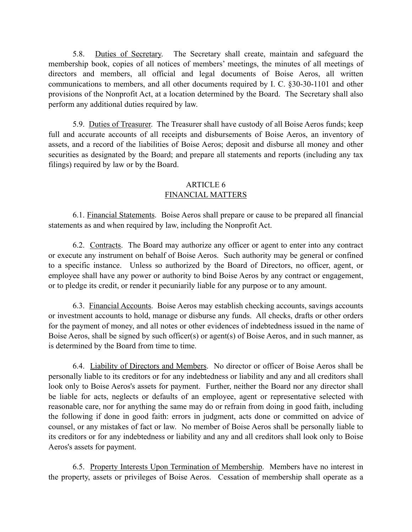5.8. Duties of Secretary. The Secretary shall create, maintain and safeguard the membership book, copies of all notices of members' meetings, the minutes of all meetings of directors and members, all official and legal documents of Boise Aeros, all written communications to members, and all other documents required by I. C. §30-30-1101 and other provisions of the Nonprofit Act, at a location determined by the Board. The Secretary shall also perform any additional duties required by law.

5.9. Duties of Treasurer. The Treasurer shall have custody of all Boise Aeros funds; keep full and accurate accounts of all receipts and disbursements of Boise Aeros, an inventory of assets, and a record of the liabilities of Boise Aeros; deposit and disburse all money and other securities as designated by the Board; and prepare all statements and reports (including any tax filings) required by law or by the Board.

### ARTICLE 6 FINANCIAL MATTERS

6.1. Financial Statements. Boise Aeros shall prepare or cause to be prepared all financial statements as and when required by law, including the Nonprofit Act.

6.2. Contracts. The Board may authorize any officer or agent to enter into any contract or execute any instrument on behalf of Boise Aeros. Such authority may be general or confined to a specific instance. Unless so authorized by the Board of Directors, no officer, agent, or employee shall have any power or authority to bind Boise Aeros by any contract or engagement, or to pledge its credit, or render it pecuniarily liable for any purpose or to any amount.

6.3. Financial Accounts. Boise Aeros may establish checking accounts, savings accounts or investment accounts to hold, manage or disburse any funds. All checks, drafts or other orders for the payment of money, and all notes or other evidences of indebtedness issued in the name of Boise Aeros, shall be signed by such officer(s) or agent(s) of Boise Aeros, and in such manner, as is determined by the Board from time to time.

6.4. Liability of Directors and Members. No director or officer of Boise Aeros shall be personally liable to its creditors or for any indebtedness or liability and any and all creditors shall look only to Boise Aeros's assets for payment. Further, neither the Board nor any director shall be liable for acts, neglects or defaults of an employee, agent or representative selected with reasonable care, nor for anything the same may do or refrain from doing in good faith, including the following if done in good faith: errors in judgment, acts done or committed on advice of counsel, or any mistakes of fact or law. No member of Boise Aeros shall be personally liable to its creditors or for any indebtedness or liability and any and all creditors shall look only to Boise Aeros's assets for payment.

6.5. Property Interests Upon Termination of Membership. Members have no interest in the property, assets or privileges of Boise Aeros. Cessation of membership shall operate as a